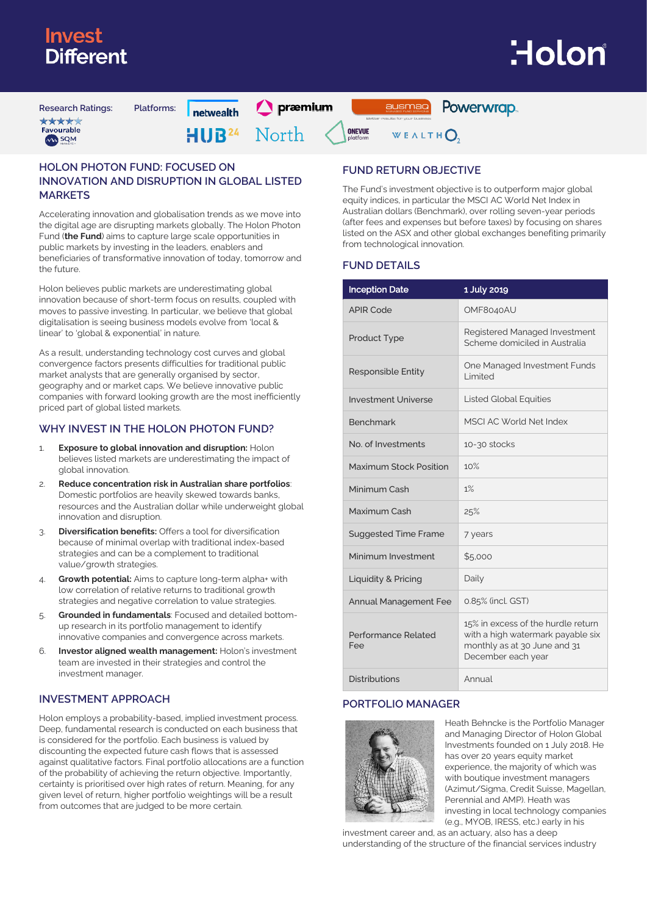## *Inves* Different

# <u>Holon</u>

**Research Ratings: Platforms:** \*\*\*\* Favourable MA SQM

nehwealth

 $\bigcap$  præmium

Powerwrap. ausmag

North HUR<sup>24</sup>



WEALTHO

### **HOLON PHOTON FUND: FOCUSED ON INNOVATION AND DISRUPTION IN GLOBAL LISTED MARKETS**

Accelerating innovation and globalisation trends as we move into the digital age are disrupting markets globally. The Holon Photon Fund (**the Fund**) aims to capture large scale opportunities in public markets by investing in the leaders, enablers and beneficiaries of transformative innovation of today, tomorrow and the future.

Holon believes public markets are underestimating global innovation because of short-term focus on results, coupled with moves to passive investing. In particular, we believe that global digitalisation is seeing business models evolve from 'local & linear' to 'global & exponential' in nature.

As a result, understanding technology cost curves and global convergence factors presents difficulties for traditional public market analysts that are generally organised by sector, geography and or market caps. We believe innovative public companies with forward looking growth are the most inefficiently priced part of global listed markets.

### **WHY INVEST IN THE HOLON PHOTON FUND?**

- **Exposure to global innovation and disruption: Holon** believes listed markets are underestimating the impact of global innovation.
- 2. **Reduce concentration risk in Australian share portfolios**: Domestic portfolios are heavily skewed towards banks, resources and the Australian dollar while underweight global innovation and disruption.
- 3. **Diversification benefits:** Offers a tool for diversification because of minimal overlap with traditional index-based strategies and can be a complement to traditional value/growth strategies.
- 4. **Growth potential:** Aims to capture long-term alpha+ with low correlation of relative returns to traditional growth strategies and negative correlation to value strategies.
- 5. **Grounded in fundamentals**: Focused and detailed bottomup research in its portfolio management to identify innovative companies and convergence across markets.
- 6. **Investor aligned wealth management:** Holon's investment team are invested in their strategies and control the investment manager.

### **INVESTMENT APPROACH**

Holon employs a probability-based, implied investment process. Deep, fundamental research is conducted on each business that is considered for the portfolio. Each business is valued by discounting the expected future cash flows that is assessed against qualitative factors. Final portfolio allocations are a function of the probability of achieving the return objective. Importantly, certainty is prioritised over high rates of return. Meaning, for any given level of return, higher portfolio weightings will be a result from outcomes that are judged to be more certain.

### **FUND RETURN OBJECTIVE**

The Fund's investment objective is to outperform major global equity indices, in particular the MSCI AC World Net Index in Australian dollars (Benchmark), over rolling seven-year periods (after fees and expenses but before taxes) by focusing on shares listed on the ASX and other global exchanges benefiting primarily from technological innovation.

### **FUND DETAILS**

| <b>Inception Date</b>        | 1 July 2019                                                                                                                   |
|------------------------------|-------------------------------------------------------------------------------------------------------------------------------|
| <b>APIR Code</b>             | OMF8040AU                                                                                                                     |
| <b>Product Type</b>          | Registered Managed Investment<br>Scheme domiciled in Australia                                                                |
| <b>Responsible Entity</b>    | One Managed Investment Funds<br>I imited                                                                                      |
| <b>Investment Universe</b>   | <b>Listed Global Equities</b>                                                                                                 |
| <b>Benchmark</b>             | MSCLAC World Net Index                                                                                                        |
| No. of Investments           | 10-30 stocks                                                                                                                  |
| Maximum Stock Position       | 10%                                                                                                                           |
| Minimum Cash                 | 1%                                                                                                                            |
| Maximum Cash                 | 25%                                                                                                                           |
| <b>Suggested Time Frame</b>  | 7 years                                                                                                                       |
| Minimum Investment           | \$5.000                                                                                                                       |
| Liquidity & Pricing          | Daily                                                                                                                         |
| <b>Annual Management Fee</b> | 0.85% (incl. GST)                                                                                                             |
| Performance Related<br>Fee   | 15% in excess of the hurdle return<br>with a high watermark payable six<br>monthly as at 30 June and 31<br>December each year |
| <b>Distributions</b>         | Annual                                                                                                                        |

### **PORTFOLIO MANAGER**



Heath Behncke is the Portfolio Manager and Managing Director of Holon Global Investments founded on 1 July 2018. He has over 20 years equity market experience, the majority of which was with boutique investment managers (Azimut/Sigma, Credit Suisse, Magellan, Perennial and AMP). Heath was investing in local technology companies (e.g., MYOB, IRESS, etc.) early in his

investment career and, as an actuary, also has a deep understanding of the structure of the financial services industry